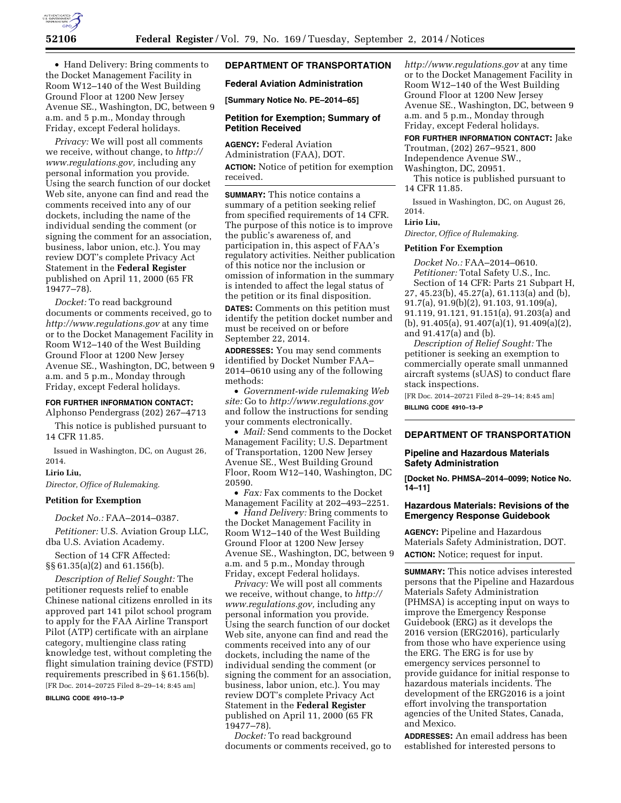

• Hand Delivery: Bring comments to the Docket Management Facility in Room W12–140 of the West Building Ground Floor at 1200 New Jersey Avenue SE., Washington, DC, between 9 a.m. and 5 p.m., Monday through Friday, except Federal holidays.

*Privacy:* We will post all comments we receive, without change, to *[http://](http://www.regulations.gov)  [www.regulations.gov,](http://www.regulations.gov)* including any personal information you provide. Using the search function of our docket Web site, anyone can find and read the comments received into any of our dockets, including the name of the individual sending the comment (or signing the comment for an association, business, labor union, etc.). You may review DOT's complete Privacy Act Statement in the **Federal Register**  published on April 11, 2000 (65 FR 19477–78).

*Docket:* To read background documents or comments received, go to *<http://www.regulations.gov>* at any time or to the Docket Management Facility in Room W12–140 of the West Building Ground Floor at 1200 New Jersey Avenue SE., Washington, DC, between 9 a.m. and 5 p.m., Monday through Friday, except Federal holidays.

#### **FOR FURTHER INFORMATION CONTACT:**

Alphonso Pendergrass (202) 267–4713 This notice is published pursuant to 14 CFR 11.85.

Issued in Washington, DC, on August 26, 2014.

#### **Lirio Liu,**

*Director, Office of Rulemaking.* 

## **Petition for Exemption**

*Docket No.:* FAA–2014–0387.

*Petitioner:* U.S. Aviation Group LLC, dba U.S. Aviation Academy.

Section of 14 CFR Affected: §§ 61.35(a)(2) and 61.156(b).

*Description of Relief Sought:* The petitioner requests relief to enable Chinese national citizens enrolled in its approved part 141 pilot school program to apply for the FAA Airline Transport Pilot (ATP) certificate with an airplane category, multiengine class rating knowledge test, without completing the flight simulation training device (FSTD) requirements prescribed in § 61.156(b). [FR Doc. 2014–20725 Filed 8–29–14; 8:45 am]

#### **BILLING CODE 4910–13–P**

## **DEPARTMENT OF TRANSPORTATION**

#### **Federal Aviation Administration**

**[Summary Notice No. PE–2014–65]** 

#### **Petition for Exemption; Summary of Petition Received**

**AGENCY:** Federal Aviation Administration (FAA), DOT. **ACTION:** Notice of petition for exemption received.

**SUMMARY:** This notice contains a summary of a petition seeking relief from specified requirements of 14 CFR. The purpose of this notice is to improve the public's awareness of, and participation in, this aspect of FAA's regulatory activities. Neither publication of this notice nor the inclusion or omission of information in the summary is intended to affect the legal status of the petition or its final disposition.

**DATES:** Comments on this petition must identify the petition docket number and must be received on or before September 22, 2014.

**ADDRESSES:** You may send comments identified by Docket Number FAA– 2014–0610 using any of the following methods:

• *Government-wide rulemaking Web site:* Go to *<http://www.regulations.gov>*  and follow the instructions for sending your comments electronically.

• *Mail:* Send comments to the Docket Management Facility; U.S. Department of Transportation, 1200 New Jersey Avenue SE., West Building Ground Floor, Room W12–140, Washington, DC 20590.

• *Fax:* Fax comments to the Docket Management Facility at 202–493–2251.

• *Hand Delivery:* Bring comments to the Docket Management Facility in Room W12–140 of the West Building Ground Floor at 1200 New Jersey Avenue SE., Washington, DC, between 9 a.m. and 5 p.m., Monday through Friday, except Federal holidays.

*Privacy:* We will post all comments we receive, without change, to *[http://](http://www.regulations.gov) [www.regulations.gov,](http://www.regulations.gov)* including any personal information you provide. Using the search function of our docket Web site, anyone can find and read the comments received into any of our dockets, including the name of the individual sending the comment (or signing the comment for an association, business, labor union, etc.). You may review DOT's complete Privacy Act Statement in the **Federal Register**  published on April 11, 2000 (65 FR 19477–78).

*Docket:* To read background documents or comments received, go to *<http://www.regulations.gov>* at any time or to the Docket Management Facility in Room W12–140 of the West Building Ground Floor at 1200 New Jersey Avenue SE., Washington, DC, between 9 a.m. and 5 p.m., Monday through Friday, except Federal holidays.

**FOR FURTHER INFORMATION CONTACT:** Jake Troutman, (202) 267–9521, 800 Independence Avenue SW., Washington, DC, 20951.

This notice is published pursuant to 14 CFR 11.85.

Issued in Washington, DC, on August 26, 2014.

**Lirio Liu,** 

*Director, Office of Rulemaking.* 

### **Petition For Exemption**

*Docket No.:* FAA–2014–0610. *Petitioner:* Total Safety U.S., Inc.

Section of 14 CFR: Parts 21 Subpart H, 27, 45.23(b), 45.27(a), 61.113(a) and (b), 91.7(a), 91.9(b)(2), 91.103, 91.109(a), 91.119, 91.121, 91.151(a), 91.203(a) and (b), 91.405(a), 91.407(a)(1), 91.409(a)(2), and 91.417(a) and (b).

*Description of Relief Sought:* The petitioner is seeking an exemption to commercially operate small unmanned aircraft systems (sUAS) to conduct flare stack inspections.

[FR Doc. 2014–20721 Filed 8–29–14; 8:45 am] **BILLING CODE 4910–13–P** 

## **DEPARTMENT OF TRANSPORTATION**

#### **Pipeline and Hazardous Materials Safety Administration**

**[Docket No. PHMSA–2014–0099; Notice No. 14–11]** 

#### **Hazardous Materials: Revisions of the Emergency Response Guidebook**

**AGENCY:** Pipeline and Hazardous Materials Safety Administration, DOT. **ACTION:** Notice; request for input.

**SUMMARY:** This notice advises interested persons that the Pipeline and Hazardous Materials Safety Administration (PHMSA) is accepting input on ways to improve the Emergency Response Guidebook (ERG) as it develops the 2016 version (ERG2016), particularly from those who have experience using the ERG. The ERG is for use by emergency services personnel to provide guidance for initial response to hazardous materials incidents. The development of the ERG2016 is a joint effort involving the transportation agencies of the United States, Canada, and Mexico.

**ADDRESSES:** An email address has been established for interested persons to